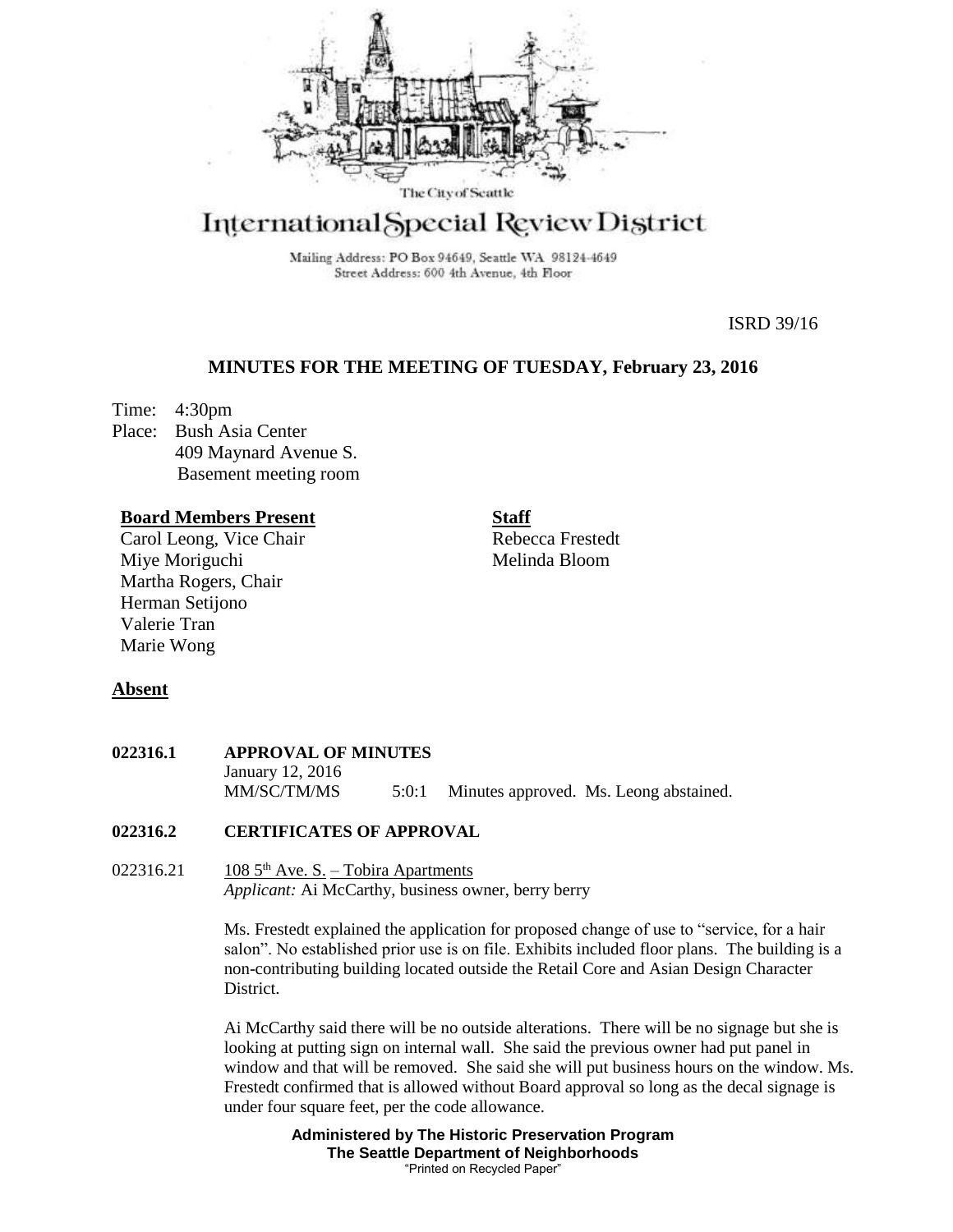

# International Special Review District

Mailing Address: PO Box 94649, Seattle WA 98124-4649 Street Address: 600 4th Avenue, 4th Floor

ISRD 39/16

# **MINUTES FOR THE MEETING OF TUESDAY, February 23, 2016**

Time: 4:30pm Place: Bush Asia Center 409 Maynard Avenue S. Basement meeting room

## **Board Members Present**

Carol Leong, Vice Chair Miye Moriguchi Martha Rogers, Chair Herman Setijono Valerie Tran Marie Wong

**Staff**

Rebecca Frestedt Melinda Bloom

## **Absent**

| <b>022316.1</b> | <b>APPROVAL OF MINUTES</b> |       |  |                                        |
|-----------------|----------------------------|-------|--|----------------------------------------|
|                 | January 12, 2016           |       |  |                                        |
|                 | MM/SC/TM/MS                | 5:0:1 |  | Minutes approved. Ms. Leong abstained. |

## **022316.2 CERTIFICATES OF APPROVAL**

022316.21 108  $5<sup>th</sup>$  Ave. S. – Tobira Apartments *Applicant:* Ai McCarthy, business owner, berry berry

> Ms. Frestedt explained the application for proposed change of use to "service, for a hair salon". No established prior use is on file. Exhibits included floor plans. The building is a non-contributing building located outside the Retail Core and Asian Design Character District.

Ai McCarthy said there will be no outside alterations. There will be no signage but she is looking at putting sign on internal wall. She said the previous owner had put panel in window and that will be removed. She said she will put business hours on the window. Ms. Frestedt confirmed that is allowed without Board approval so long as the decal signage is under four square feet, per the code allowance.

> **Administered by The Historic Preservation Program The Seattle Department of Neighborhoods** "Printed on Recycled Paper"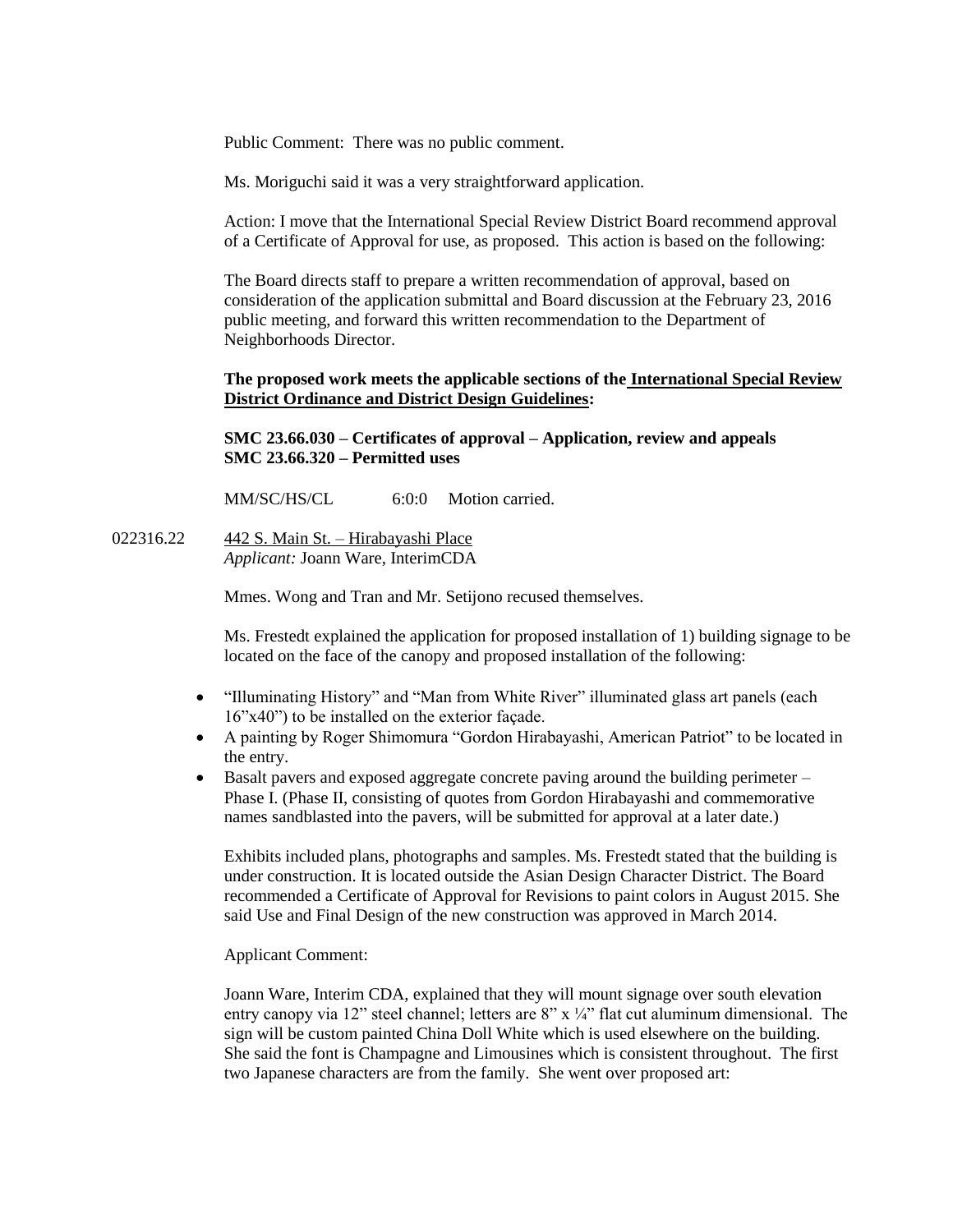Public Comment: There was no public comment.

Ms. Moriguchi said it was a very straightforward application.

Action: I move that the International Special Review District Board recommend approval of a Certificate of Approval for use, as proposed. This action is based on the following:

The Board directs staff to prepare a written recommendation of approval, based on consideration of the application submittal and Board discussion at the February 23, 2016 public meeting, and forward this written recommendation to the Department of Neighborhoods Director.

#### **The proposed work meets the applicable sections of the International Special Review District Ordinance and District Design Guidelines:**

**SMC 23.66.030 – Certificates of approval – Application, review and appeals SMC 23.66.320 – Permitted uses**

MM/SC/HS/CL 6:0:0 Motion carried

022316.22 442 S. Main St. – Hirabayashi Place *Applicant:* Joann Ware, InterimCDA

Mmes. Wong and Tran and Mr. Setijono recused themselves.

Ms. Frestedt explained the application for proposed installation of 1) building signage to be located on the face of the canopy and proposed installation of the following:

- "Illuminating History" and "Man from White River" illuminated glass art panels (each 16"x40") to be installed on the exterior façade.
- A painting by Roger Shimomura "Gordon Hirabayashi, American Patriot" to be located in the entry.
- Basalt pavers and exposed aggregate concrete paving around the building perimeter Phase I. (Phase II, consisting of quotes from Gordon Hirabayashi and commemorative names sandblasted into the pavers, will be submitted for approval at a later date.)

Exhibits included plans, photographs and samples. Ms. Frestedt stated that the building is under construction. It is located outside the Asian Design Character District. The Board recommended a Certificate of Approval for Revisions to paint colors in August 2015. She said Use and Final Design of the new construction was approved in March 2014.

Applicant Comment:

Joann Ware, Interim CDA, explained that they will mount signage over south elevation entry canopy via 12" steel channel; letters are  $8" \times \frac{1}{4}$ " flat cut aluminum dimensional. The sign will be custom painted China Doll White which is used elsewhere on the building. She said the font is Champagne and Limousines which is consistent throughout. The first two Japanese characters are from the family. She went over proposed art: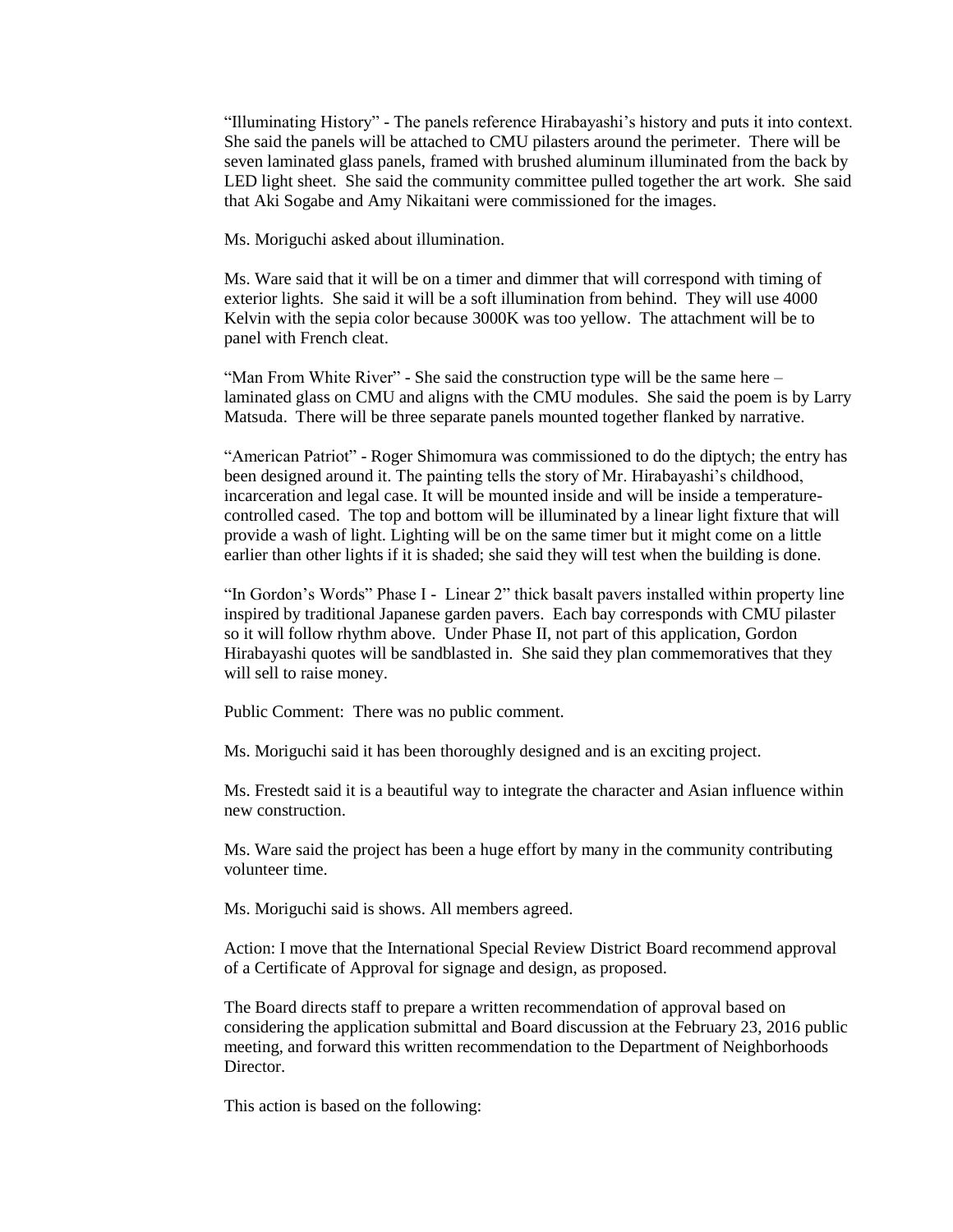"Illuminating History" - The panels reference Hirabayashi's history and puts it into context. She said the panels will be attached to CMU pilasters around the perimeter. There will be seven laminated glass panels, framed with brushed aluminum illuminated from the back by LED light sheet. She said the community committee pulled together the art work. She said that Aki Sogabe and Amy Nikaitani were commissioned for the images.

Ms. Moriguchi asked about illumination.

Ms. Ware said that it will be on a timer and dimmer that will correspond with timing of exterior lights. She said it will be a soft illumination from behind. They will use 4000 Kelvin with the sepia color because 3000K was too yellow. The attachment will be to panel with French cleat.

"Man From White River" - She said the construction type will be the same here – laminated glass on CMU and aligns with the CMU modules. She said the poem is by Larry Matsuda. There will be three separate panels mounted together flanked by narrative.

"American Patriot" - Roger Shimomura was commissioned to do the diptych; the entry has been designed around it. The painting tells the story of Mr. Hirabayashi's childhood, incarceration and legal case. It will be mounted inside and will be inside a temperaturecontrolled cased. The top and bottom will be illuminated by a linear light fixture that will provide a wash of light. Lighting will be on the same timer but it might come on a little earlier than other lights if it is shaded; she said they will test when the building is done.

"In Gordon's Words" Phase I - Linear 2" thick basalt pavers installed within property line inspired by traditional Japanese garden pavers. Each bay corresponds with CMU pilaster so it will follow rhythm above. Under Phase II, not part of this application, Gordon Hirabayashi quotes will be sandblasted in. She said they plan commemoratives that they will sell to raise money.

Public Comment: There was no public comment.

Ms. Moriguchi said it has been thoroughly designed and is an exciting project.

Ms. Frestedt said it is a beautiful way to integrate the character and Asian influence within new construction.

Ms. Ware said the project has been a huge effort by many in the community contributing volunteer time.

Ms. Moriguchi said is shows. All members agreed.

Action: I move that the International Special Review District Board recommend approval of a Certificate of Approval for signage and design, as proposed.

The Board directs staff to prepare a written recommendation of approval based on considering the application submittal and Board discussion at the February 23, 2016 public meeting, and forward this written recommendation to the Department of Neighborhoods Director.

This action is based on the following: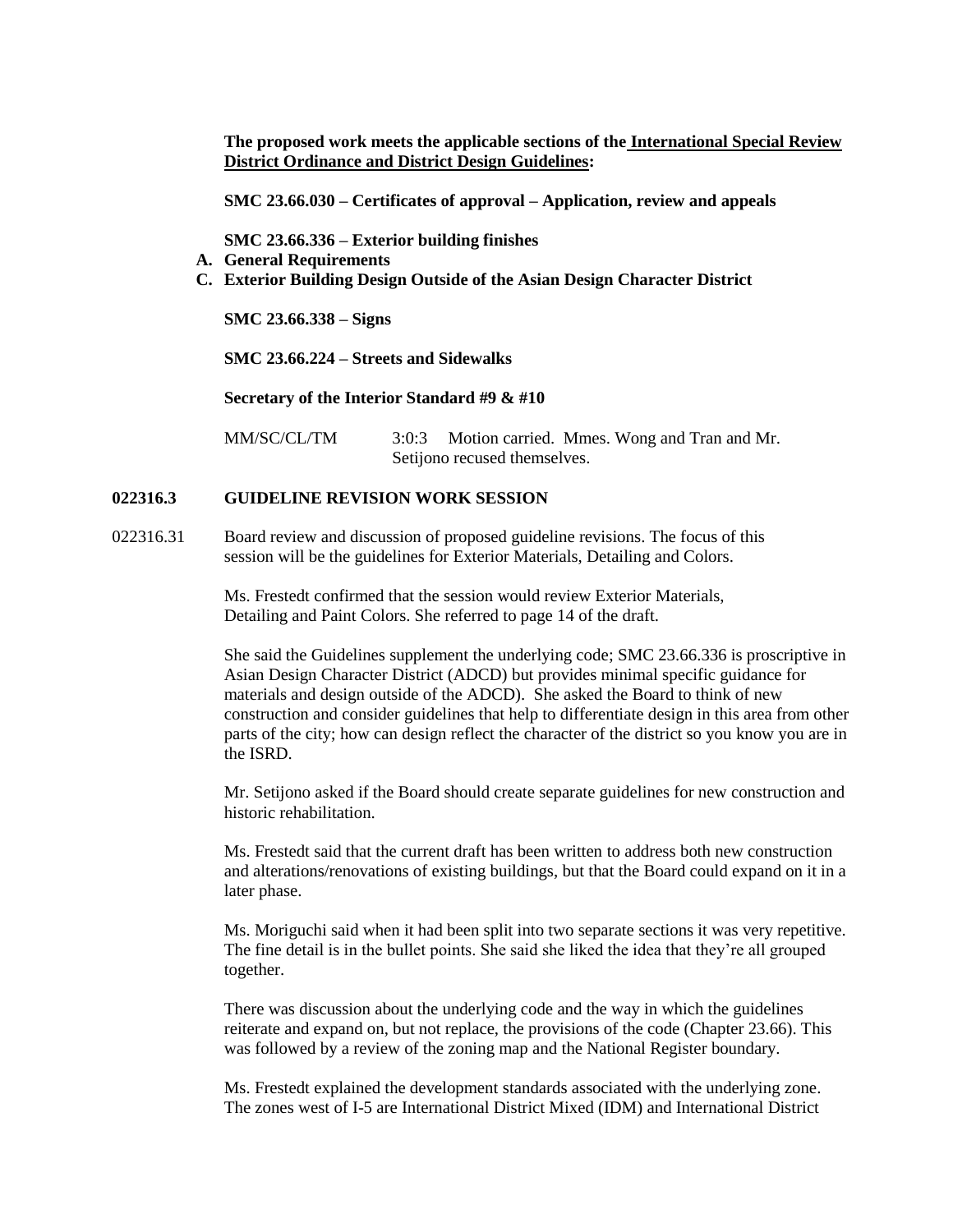**The proposed work meets the applicable sections of the International Special Review District Ordinance and District Design Guidelines:** 

**SMC 23.66.030 – Certificates of approval – Application, review and appeals**

**SMC 23.66.336 – Exterior building finishes**

- **A. General Requirements**
- **C. Exterior Building Design Outside of the Asian Design Character District**

**SMC 23.66.338 – Signs**

**SMC 23.66.224 – Streets and Sidewalks**

**Secretary of the Interior Standard #9 & #10**

MM/SC/CL/TM 3:0:3 Motion carried. Mmes. Wong and Tran and Mr. Setijono recused themselves.

#### **022316.3 GUIDELINE REVISION WORK SESSION**

022316.31 Board review and discussion of proposed guideline revisions. The focus of this session will be the guidelines for Exterior Materials, Detailing and Colors.

> Ms. Frestedt confirmed that the session would review Exterior Materials, Detailing and Paint Colors. She referred to page 14 of the draft.

She said the Guidelines supplement the underlying code; SMC 23.66.336 is proscriptive in Asian Design Character District (ADCD) but provides minimal specific guidance for materials and design outside of the ADCD). She asked the Board to think of new construction and consider guidelines that help to differentiate design in this area from other parts of the city; how can design reflect the character of the district so you know you are in the ISRD.

Mr. Setijono asked if the Board should create separate guidelines for new construction and historic rehabilitation.

Ms. Frestedt said that the current draft has been written to address both new construction and alterations/renovations of existing buildings, but that the Board could expand on it in a later phase.

Ms. Moriguchi said when it had been split into two separate sections it was very repetitive. The fine detail is in the bullet points. She said she liked the idea that they're all grouped together.

There was discussion about the underlying code and the way in which the guidelines reiterate and expand on, but not replace, the provisions of the code (Chapter 23.66). This was followed by a review of the zoning map and the National Register boundary.

Ms. Frestedt explained the development standards associated with the underlying zone. The zones west of I-5 are International District Mixed (IDM) and International District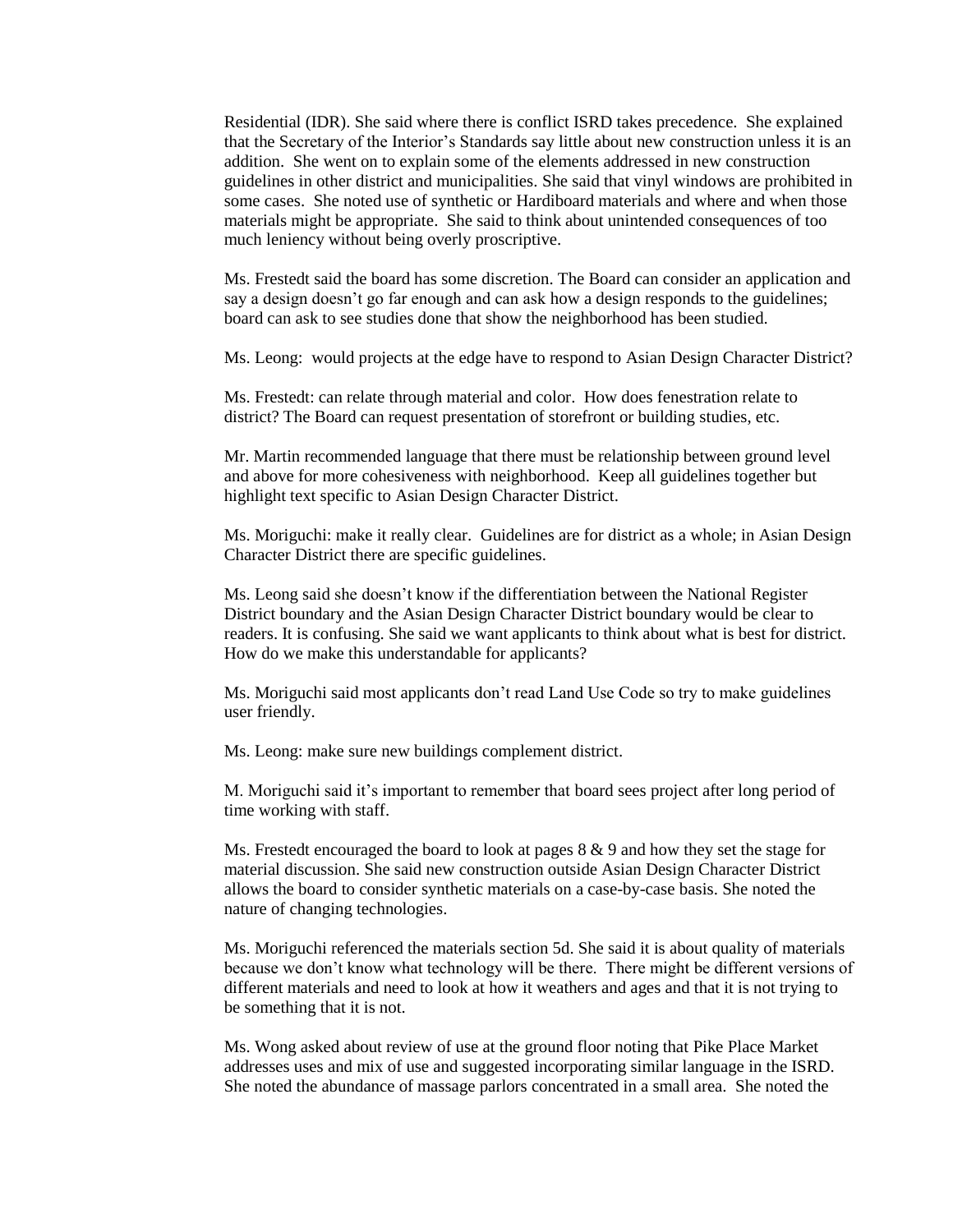Residential (IDR). She said where there is conflict ISRD takes precedence. She explained that the Secretary of the Interior's Standards say little about new construction unless it is an addition. She went on to explain some of the elements addressed in new construction guidelines in other district and municipalities. She said that vinyl windows are prohibited in some cases. She noted use of synthetic or Hardiboard materials and where and when those materials might be appropriate. She said to think about unintended consequences of too much leniency without being overly proscriptive.

Ms. Frestedt said the board has some discretion. The Board can consider an application and say a design doesn't go far enough and can ask how a design responds to the guidelines; board can ask to see studies done that show the neighborhood has been studied.

Ms. Leong: would projects at the edge have to respond to Asian Design Character District?

Ms. Frestedt: can relate through material and color. How does fenestration relate to district? The Board can request presentation of storefront or building studies, etc.

Mr. Martin recommended language that there must be relationship between ground level and above for more cohesiveness with neighborhood. Keep all guidelines together but highlight text specific to Asian Design Character District.

Ms. Moriguchi: make it really clear. Guidelines are for district as a whole; in Asian Design Character District there are specific guidelines.

Ms. Leong said she doesn't know if the differentiation between the National Register District boundary and the Asian Design Character District boundary would be clear to readers. It is confusing. She said we want applicants to think about what is best for district. How do we make this understandable for applicants?

Ms. Moriguchi said most applicants don't read Land Use Code so try to make guidelines user friendly.

Ms. Leong: make sure new buildings complement district.

M. Moriguchi said it's important to remember that board sees project after long period of time working with staff.

Ms. Frestedt encouraged the board to look at pages  $8 \& 9$  and how they set the stage for material discussion. She said new construction outside Asian Design Character District allows the board to consider synthetic materials on a case-by-case basis. She noted the nature of changing technologies.

Ms. Moriguchi referenced the materials section 5d. She said it is about quality of materials because we don't know what technology will be there. There might be different versions of different materials and need to look at how it weathers and ages and that it is not trying to be something that it is not.

Ms. Wong asked about review of use at the ground floor noting that Pike Place Market addresses uses and mix of use and suggested incorporating similar language in the ISRD. She noted the abundance of massage parlors concentrated in a small area. She noted the